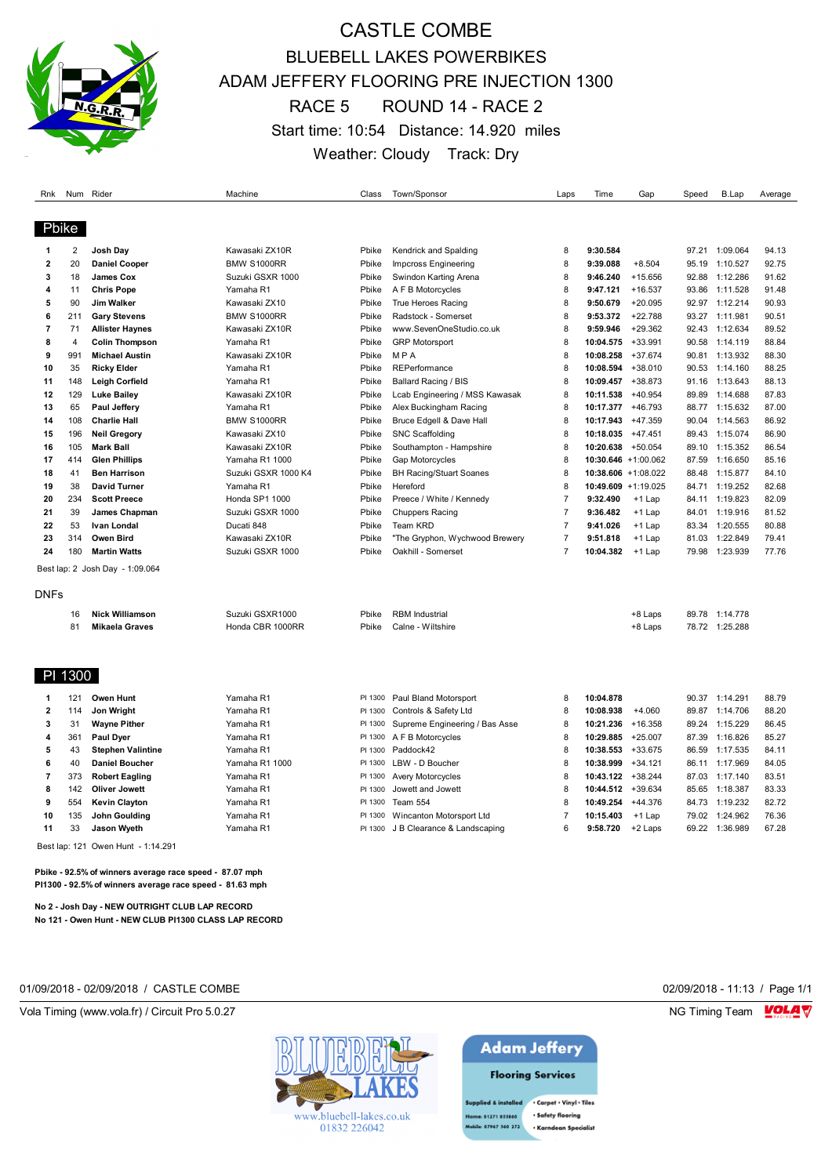

## CASTLE COMBE BLUEBELL LAKES POWERBIKES ADAM JEFFERY FLOORING PRE INJECTION 1300 RACE 5 ROUND 14 - RACE 2 Start time: 10:54 Distance: 14.920 miles Weather: Cloudy Track: Dry

| Rnk                     |         | Num Rider                       | Machine             | Class   | Town/Sponsor                   | Laps           | Time                | Gap                 | Speed | B.Lap          | Average |
|-------------------------|---------|---------------------------------|---------------------|---------|--------------------------------|----------------|---------------------|---------------------|-------|----------------|---------|
| Pbike                   |         |                                 |                     |         |                                |                |                     |                     |       |                |         |
| 1                       | 2       | Josh Day                        | Kawasaki ZX10R      | Pbike   | Kendrick and Spalding          | 8              | 9:30.584            |                     |       | 97.21 1:09.064 | 94.13   |
| 2                       | 20      | <b>Daniel Cooper</b>            | BMW S1000RR         | Pbike   | Impcross Engineering           | 8              | 9:39.088            | $+8.504$            | 95.19 | 1:10.527       | 92.75   |
| 3                       | 18      | James Cox                       | Suzuki GSXR 1000    | Pbike   | Swindon Karting Arena          | 8              | 9:46.240            | $+15.656$           | 92.88 | 1:12.286       | 91.62   |
| 4                       | 11      | <b>Chris Pope</b>               | Yamaha R1           | Pbike   | A F B Motorcycles              | 8              | 9:47.121            | $+16.537$           | 93.86 | 1:11.528       | 91.48   |
| 5                       | 90      | Jim Walker                      | Kawasaki ZX10       | Pbike   | True Heroes Racing             | 8              | 9:50.679            | $+20.095$           | 92.97 | 1:12.214       | 90.93   |
| 6                       | 211     | <b>Gary Stevens</b>             | BMW S1000RR         | Pbike   | Radstock - Somerset            | 8              | 9:53.372            | $+22.788$           | 93.27 | 1:11.981       | 90.51   |
| $\overline{7}$          | 71      | <b>Allister Haynes</b>          | Kawasaki ZX10R      | Pbike   | www.SevenOneStudio.co.uk       | 8              | 9:59.946            | $+29.362$           | 92.43 | 1:12.634       | 89.52   |
| 8                       | 4       | <b>Colin Thompson</b>           | Yamaha R1           | Pbike   | <b>GRP Motorsport</b>          | 8              | 10:04.575           | +33.991             | 90.58 | 1:14.119       | 88.84   |
| 9                       | 991     | <b>Michael Austin</b>           | Kawasaki ZX10R      | Pbike   | <b>MPA</b>                     | 8              | 10:08.258           | $+37.674$           | 90.81 | 1:13.932       | 88.30   |
| 10                      | 35      | <b>Ricky Elder</b>              | Yamaha R1           | Pbike   | REPerformance                  | 8              | 10:08.594           | $+38.010$           | 90.53 | 1:14.160       | 88.25   |
| 11                      | 148     | <b>Leigh Corfield</b>           | Yamaha R1           | Pbike   | <b>Ballard Racing / BIS</b>    | 8              | 10:09.457           | +38.873             | 91.16 | 1:13.643       | 88.13   |
| 12                      | 129     | <b>Luke Bailey</b>              | Kawasaki ZX10R      | Pbike   | Lcab Engineering / MSS Kawasak | 8              | 10:11.538           | $+40.954$           | 89.89 | 1:14.688       | 87.83   |
| 13                      | 65      | Paul Jeffery                    | Yamaha R1           | Pbike   | Alex Buckingham Racing         | 8              | 10:17.377           | $+46.793$           | 88.77 | 1:15.632       | 87.00   |
| 14                      | 108     | <b>Charlie Hall</b>             | BMW S1000RR         | Pbike   | Bruce Edgell & Dave Hall       | 8              | 10:17.943           | $+47.359$           | 90.04 | 1:14.563       | 86.92   |
| 15                      | 196     | <b>Neil Gregory</b>             | Kawasaki ZX10       | Pbike   | <b>SNC Scaffolding</b>         | 8              | 10:18.035           | $+47.451$           | 89.43 | 1:15.074       | 86.90   |
| 16                      | 105     | <b>Mark Ball</b>                | Kawasaki ZX10R      | Pbike   | Southampton - Hampshire        | 8              | 10:20.638 +50.054   |                     | 89.10 | 1:15.352       | 86.54   |
| 17                      | 414     | <b>Glen Phillips</b>            | Yamaha R1 1000      | Pbike   | Gap Motorcycles                | 8              | 10:30.646 +1:00.062 |                     | 87.59 | 1:16.650       | 85.16   |
| 18                      | 41      | <b>Ben Harrison</b>             | Suzuki GSXR 1000 K4 | Pbike   | <b>BH Racing/Stuart Soanes</b> | 8              |                     | 10:38.606 +1:08.022 | 88.48 | 1:15.877       | 84.10   |
| 19                      | 38      | <b>David Turner</b>             | Yamaha R1           | Pbike   | Hereford                       | 8              |                     | 10:49.609 +1:19.025 | 84.71 | 1:19.252       | 82.68   |
| 20                      | 234     | <b>Scott Preece</b>             | Honda SP1 1000      | Pbike   | Preece / White / Kennedy       | $\overline{7}$ | 9:32.490            | +1 Lap              | 84.11 | 1:19.823       | 82.09   |
| 21                      | 39      | James Chapman                   | Suzuki GSXR 1000    | Pbike   | <b>Chuppers Racing</b>         | $\overline{7}$ | 9:36.482            | +1 Lap              | 84.01 | 1:19.916       | 81.52   |
| 22                      | 53      | Ivan Londal                     | Ducati 848          | Pbike   | Team KRD                       | $\overline{7}$ | 9:41.026            | +1 Lap              | 83.34 | 1:20.555       | 80.88   |
| 23                      | 314     | Owen Bird                       | Kawasaki ZX10R      | Pbike   | "The Gryphon, Wychwood Brewery | $\overline{7}$ | 9:51.818            | +1 Lap              | 81.03 | 1:22.849       | 79.41   |
| 24                      | 180     | <b>Martin Watts</b>             | Suzuki GSXR 1000    | Pbike   | Oakhill - Somerset             | $\overline{7}$ | 10:04.382           | $+1$ Lap            | 79.98 | 1:23.939       | 77.76   |
|                         |         | Best lap: 2 Josh Day - 1:09.064 |                     |         |                                |                |                     |                     |       |                |         |
|                         |         |                                 |                     |         |                                |                |                     |                     |       |                |         |
| DNFs                    |         |                                 |                     |         |                                |                |                     |                     |       |                |         |
|                         | 16      | <b>Nick Williamson</b>          | Suzuki GSXR1000     | Pbike   | <b>RBM</b> Industrial          |                |                     | +8 Laps             |       | 89.78 1:14.778 |         |
|                         | 81      | <b>Mikaela Graves</b>           | Honda CBR 1000RR    | Pbike   | Calne - Wiltshire              |                |                     | +8 Laps             |       | 78.72 1:25.288 |         |
|                         | PI 1300 |                                 |                     |         |                                |                |                     |                     |       |                |         |
|                         |         |                                 |                     |         |                                |                |                     |                     |       |                |         |
| 1                       | 121     | Owen Hunt                       | Yamaha R1           | PI 1300 | Paul Bland Motorsport          | 8              | 10:04.878           |                     |       | 90.37 1:14.291 | 88.79   |
| $\overline{\mathbf{2}}$ | 114     | Jon Wright                      | Yamaha R1           | PI 1300 | Controls & Safety Ltd          | 8              | 10:08.938           | $+4.060$            | 89.87 | 1:14.706       | 88.20   |
| 3                       | 31      | <b>Wayne Pither</b>             | Yamaha R1           | PI 1300 | Supreme Engineering / Bas Asse | 8              | 10:21.236           | +16.358             | 89.24 | 1:15.229       | 86.45   |
| 4                       | 361     | Paul Dyer                       | Yamaha R1           | PI 1300 | A F B Motorcycles              | 8              | 10:29.885           | $+25.007$           | 87.39 | 1:16.826       | 85.27   |
| 5                       | 43      | <b>Stephen Valintine</b>        | Yamaha R1           | PI 1300 | Paddock42                      | 8              | 10:38.553           | +33.675             | 86.59 | 1:17.535       | 84.11   |
| 6                       | 40      | <b>Daniel Boucher</b>           | Yamaha R1 1000      | PI 1300 | LBW - D Boucher                | 8              | 10:38.999           | $+34.121$           | 86.11 | 1:17.969       | 84.05   |
| $\overline{7}$          | 373     | <b>Robert Eagling</b>           | Yamaha R1           | PI 1300 | <b>Avery Motorcycles</b>       | 8              | 10:43.122 +38.244   |                     | 87.03 | 1:17.140       | 83.51   |
| 8                       | 142     | <b>Oliver Jowett</b>            | Yamaha R1           | PI 1300 | Jowett and Jowett              | 8              | 10:44.512           | $+39.634$           | 85.65 | 1:18.387       | 83.33   |
| 9                       | 554     | <b>Kevin Clayton</b>            | Yamaha R1           | PI 1300 | Team 554                       | 8              | 10:49.254           | $+44.376$           | 84.73 | 1:19.232       | 82.72   |
| 10                      | 135     | John Goulding                   | Yamaha R1           | PI 1300 | Wincanton Motorsport Ltd       | $\overline{7}$ | 10:15.403           | $+1$ Lap            | 79.02 | 1:24.962       | 76.36   |
| 11                      | 33      | <b>Jason Wyeth</b>              | Yamaha R1           | PI 1300 | J B Clearance & Landscaping    | 6              | 9:58.720            | +2 Laps             | 69.22 | 1:36.989       | 67.28   |

Best lap: 121 Owen Hunt - 1:14.291

**Pbike - 92.5% of winners average race speed - 87.07 mph PI1300 - 92.5% of winners average race speed - 81.63 mph**

**No 2 - Josh Day - NEW OUTRIGHT CLUB LAP RECORD No 121 - Owen Hunt - NEW CLUB PI1300 CLASS LAP RECORD**

| 02/09/2018 - 11:13 / Page |  |  |
|---------------------------|--|--|
|---------------------------|--|--|



## **Adam Jeffery Flooring Services**

Supplied & installed . Carpet . Vinyl . Tiles e: 01271 855860 · Safety flooring bile: 07967 560 272 · Karndean Specialis

01/09/2018 - 02/09/2018 / CASTLE COMBE 02/09/2018 - 11:13 / Page 1/1

Vola Timing (www.vola.fr) / Circuit Pro 5.0.27 NG Timing Team MC Timing Team MC Timing Team MC Timing Team MC Timing Team MC Timing Team MC Timing Team MC Timing Team MC Timing Team MC Timing Team MC Timing Team MC Timing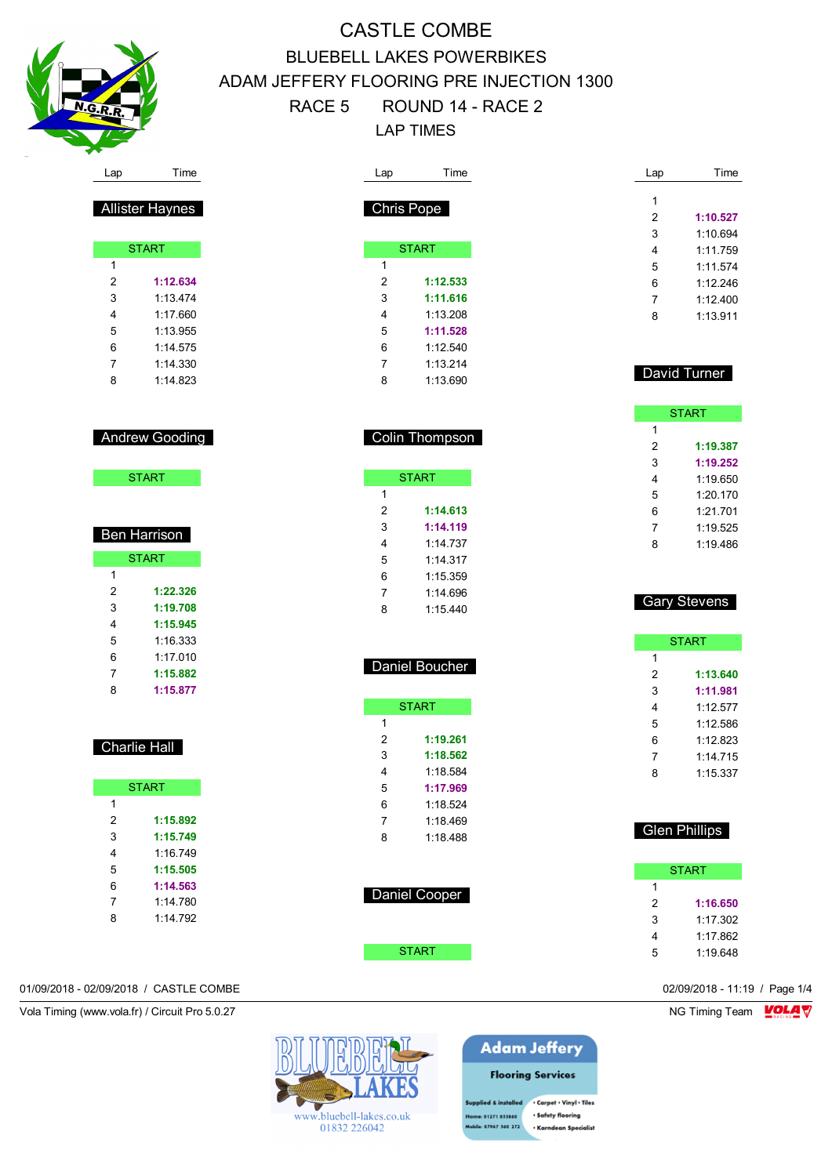

|                         | Time                   | Lap            | Time                 | Lap               | Time                                         |
|-------------------------|------------------------|----------------|----------------------|-------------------|----------------------------------------------|
|                         |                        |                |                      | $\mathbf{1}$      |                                              |
|                         | <b>Allister Haynes</b> |                | Chris Pope           | $\overline{2}$    | 1:10.527                                     |
|                         |                        |                |                      | 3                 | 1:10.694                                     |
|                         | <b>START</b>           |                | <b>START</b>         | 4                 | 1:11.759                                     |
| 1                       |                        | $\mathbf{1}$   |                      | 5                 | 1:11.574                                     |
| $\overline{\mathbf{c}}$ | 1:12.634               | $\sqrt{2}$     | 1:12.533             | 6                 | 1:12.246                                     |
| 3                       | 1:13.474               | 3              | 1:11.616             | 7                 | 1:12.400                                     |
| 4                       | 1:17.660               | 4              | 1:13.208             | 8                 | 1:13.911                                     |
| 5                       | 1:13.955               | 5              | 1:11.528             |                   |                                              |
| 6                       | 1:14.575               | 6              | 1:12.540             |                   |                                              |
| 7                       | 1:14.330               | 7              | 1:13.214             |                   |                                              |
| 8                       | 1:14.823               | 8              | 1:13.690             |                   | David Turner                                 |
|                         |                        |                |                      |                   | <b>START</b>                                 |
|                         | <b>Andrew Gooding</b>  |                | Colin Thompson       | $\mathbf{1}$<br>2 | 1:19.387                                     |
|                         |                        |                |                      | 3                 | 1:19.252                                     |
|                         | <b>START</b>           |                | <b>START</b>         | 4                 | 1:19.650                                     |
|                         |                        | $\mathbf{1}$   |                      | 5                 | 1:20.170                                     |
|                         |                        | $\overline{2}$ | 1:14.613             | 6                 | 1:21.701                                     |
|                         | <b>Ben Harrison</b>    | 3              | 1:14.119             | 7                 | 1:19.525                                     |
|                         |                        | 4              | 1:14.737             | 8                 | 1:19.486                                     |
|                         | <b>START</b>           | 5              | 1:14.317             |                   |                                              |
| 1                       |                        | 6              | 1:15.359             |                   |                                              |
|                         |                        |                |                      |                   |                                              |
| $\overline{\mathbf{c}}$ | 1:22.326               | $\overline{7}$ | 1:14.696             |                   |                                              |
| 3                       | 1:19.708               | 8              | 1:15.440             |                   | <b>Gary Stevens</b>                          |
| 4                       | 1:15.945               |                |                      |                   |                                              |
| 5                       | 1:16.333               |                |                      |                   | <b>START</b>                                 |
| 6                       | 1:17.010               |                |                      | 1                 |                                              |
| 7                       | 1:15.882               |                | Daniel Boucher       | $\overline{c}$    | 1:13.640                                     |
| 8                       | 1:15.877               |                |                      | 3                 | 1:11.981                                     |
|                         |                        |                |                      | 4                 |                                              |
|                         |                        | $\mathbf{1}$   | <b>START</b>         |                   | 1:12.577                                     |
|                         |                        |                |                      | 5                 | 1:12.586                                     |
|                         | Charlie Hall           | 2<br>3         | 1:19.261<br>1:18.562 | 6                 | 1:12.823                                     |
|                         |                        | 4              |                      | 7                 | 1:14.715                                     |
|                         |                        |                | 1:18.584             | 8                 | 1:15.337                                     |
| $\mathbf{1}$            | <b>START</b>           | 5              | 1:17.969             |                   |                                              |
|                         | 1:15.892               | 6              | 1:18.524             |                   |                                              |
| 2                       | 1:15.749               | $\overline{7}$ | 1:18.469             |                   | <b>Glen Phillips</b>                         |
| 3                       |                        | 8              | 1:18.488             |                   |                                              |
| 4                       | 1:16.749               |                |                      |                   |                                              |
| 5                       | 1:15.505               |                |                      |                   | <b>START</b>                                 |
| 6                       | 1:14.563               |                | <b>Daniel Cooper</b> | 1                 |                                              |
| 7                       | 1:14.780               |                |                      | $\sqrt{2}$        |                                              |
| 8                       | 1:14.792               |                |                      | 3                 |                                              |
|                         |                        |                | <b>START</b>         | 4<br>5            | 1:16.650<br>1:17.302<br>1:17.862<br>1:19.648 |



**Adam Jeffery Flooring Services** 

pplied & installed . Carpet . Vinyl . Tiles · Safety flooring e: 01271 855860 bile: 07967 560 272 · Karndean Specialis

## 01/09/2018 - 02/09/2018 / CASTLE COMBE 02/09/2018 - 11:19 / Page 1/4

Vola Timing (www.vola.fr) / Circuit Pro 5.0.27 NG Timing Team NG Timing Team NG Timing Team NG Timing Team NG

| <b>Ben Harrison</b> |  |
|---------------------|--|
|                     |  |

| <b>START</b> |          |  |  |  |
|--------------|----------|--|--|--|
| 1            |          |  |  |  |
| 2            | 1:22.326 |  |  |  |
| 3            | 1:19.708 |  |  |  |
| 4            | 1:15.945 |  |  |  |
| 5            | 1:16.333 |  |  |  |
| 6            | 1.17010  |  |  |  |
| 7            | 1:15.882 |  |  |  |
| ጸ            | 1:15.877 |  |  |  |

## Charlie Hall

| <b>START</b> |          |  |  |  |
|--------------|----------|--|--|--|
| 1            |          |  |  |  |
| 2            | 1:15.892 |  |  |  |
| 3            | 1:15.749 |  |  |  |
| 4            | 1:16.749 |  |  |  |
| 5            | 1:15.505 |  |  |  |
| 6            | 1:14.563 |  |  |  |
| 7            | 1.14780  |  |  |  |
| 8            | 1:14.792 |  |  |  |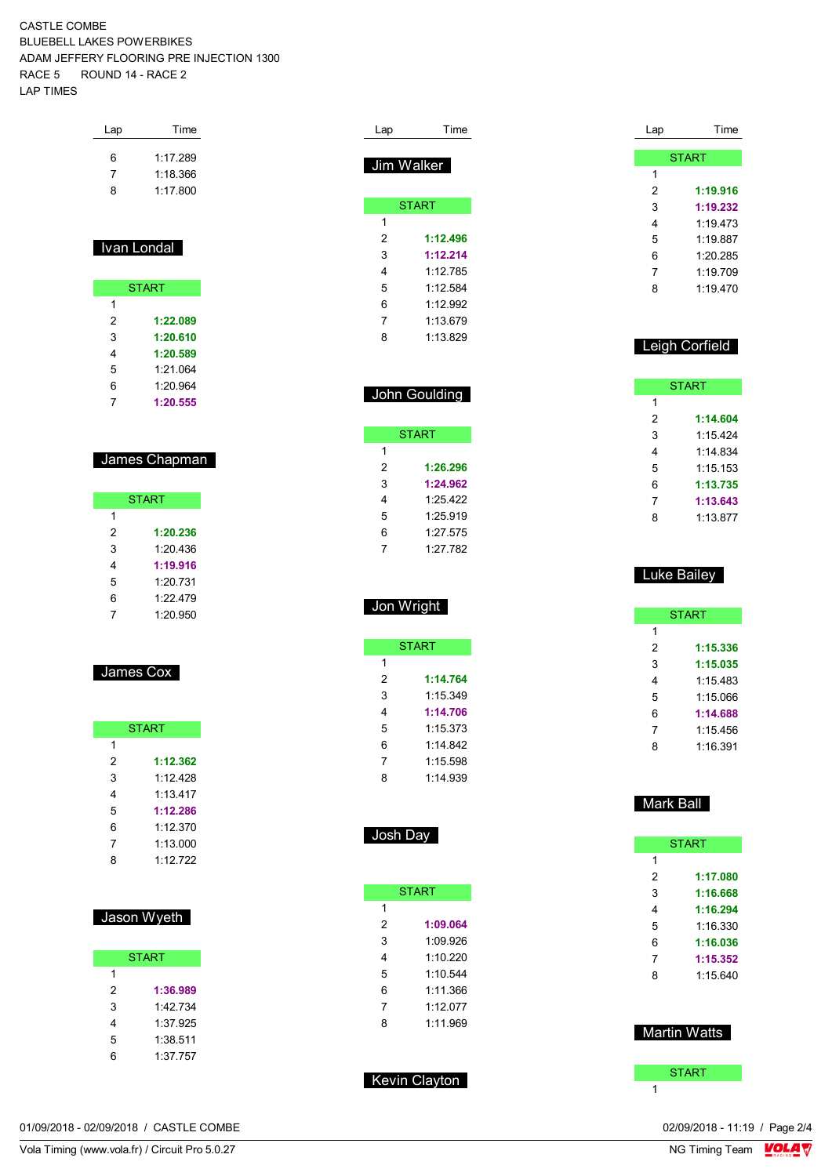| Lap | Time     |
|-----|----------|
| ิค  | 1.17289  |
| 7   | 1:18.366 |
| 8   | 1:17.800 |

## Ivan Londal

| <b>START</b> |          |  |  |  |
|--------------|----------|--|--|--|
| 1            |          |  |  |  |
| 2            | 1:22.089 |  |  |  |
| 3            | 1:20.610 |  |  |  |
| 4            | 1:20.589 |  |  |  |
| 5            | 1.21 064 |  |  |  |
| 6            | 1:20.964 |  |  |  |
| 7            | 1:20.555 |  |  |  |

### James Chapman

| <b>START</b> |          |  |  |  |
|--------------|----------|--|--|--|
| 1            |          |  |  |  |
| 2            | 1:20.236 |  |  |  |
| 3            | 1.20 436 |  |  |  |
| 4            | 1:19.916 |  |  |  |
| 5            | 1.20 731 |  |  |  |
| 6            | 1:22.479 |  |  |  |
|              | 1:20.950 |  |  |  |

James Cox

| <b>START</b> |          |  |  |  |  |
|--------------|----------|--|--|--|--|
| 1            |          |  |  |  |  |
| 2            | 1:12.362 |  |  |  |  |
| 3            | 1.12428  |  |  |  |  |
| 4            | 1.13417  |  |  |  |  |
| 5            | 1:12.286 |  |  |  |  |
| 6            | 1.12370  |  |  |  |  |
| 7            | 1:13.000 |  |  |  |  |
| 8            | 1.12722  |  |  |  |  |

| Jason Wyeth  |          |  |  |  |
|--------------|----------|--|--|--|
| <b>START</b> |          |  |  |  |
| 1            |          |  |  |  |
| 2            | 1:36.989 |  |  |  |
| 3            | 1:42 734 |  |  |  |
| 4            | 1:37 925 |  |  |  |
| 5            | 1:38.511 |  |  |  |
| 6            | 1:37.757 |  |  |  |

| Lap        | Time         |
|------------|--------------|
| Jim Walker |              |
|            |              |
|            | <b>START</b> |
| 1          |              |
| 2          | 1:12.496     |
| 3          | 1:12.214     |
| 4          | 1 12 785     |
| 5          | 1:12.584     |
| 6          | 1:12.992     |
| 7          | 1:13.679     |
| 8          | 1:13.829     |

### John Goulding

|   | <b>START</b> |
|---|--------------|
| 1 |              |
| 2 | 1:26.296     |
| 3 | 1:24.962     |
| 4 | 1.25 422     |
| 5 | 1:25.919     |
| 6 | 1:27.575     |
|   | 1.27 782     |

## Jon Wright

|   | <b>START</b> |
|---|--------------|
| 1 |              |
| 2 | 1:14.764     |
| 3 | 1:15.349     |
| 4 | 1:14.706     |
| 5 | 1.15.373     |
| 6 | 1 14 842     |
| 7 | 1:15.598     |
| ጸ | 1:14 939     |
|   |              |

#### Josh Day

| 1<br>2<br>1:09.064<br>3<br>1:09.926<br>1.10220<br>4<br>5<br>1.10.544<br>6<br>1.11.366<br>1.12077<br>7 |
|-------------------------------------------------------------------------------------------------------|
|                                                                                                       |
|                                                                                                       |
|                                                                                                       |
|                                                                                                       |
|                                                                                                       |
|                                                                                                       |
|                                                                                                       |
| 1.11969<br>8                                                                                          |
|                                                                                                       |

Kevin Clayton

#### **START 1:19.916 1:19.232** 1:19.473 1:19.887 1:20.285 1:19.709 1:19.470

Lap Time

### Leigh Corfield

|   | <b>START</b> |
|---|--------------|
| 1 |              |
| 2 | 1:14.604     |
| 3 | 1:15.424     |
| 4 | 1.14834      |
| 5 | 1:15.153     |
| 6 | 1:13.735     |
| 7 | 1:13.643     |
| ጸ | 1.13.877     |
|   |              |

#### Luke Bailey

|   | <b>START</b> |
|---|--------------|
| 1 |              |
| 2 | 1:15.336     |
| 3 | 1:15.035     |
| 4 | 1:15.483     |
| 5 | 1:15 066     |
| 6 | 1:14.688     |
| 7 | 1:15.456     |
| ឧ | 1:16.391     |

### Mark Ball

|   | <b>START</b>        |
|---|---------------------|
| 1 |                     |
| 2 | 1:17.080            |
| 3 | 1:16.668            |
| 4 | 1:16.294            |
| 5 | 1:16.330            |
| 6 | 1:16.036            |
| 7 | 1:15.352            |
| 8 | 1:15 640            |
|   |                     |
|   | <b>Martin Watts</b> |
|   |                     |
|   | <b>START</b>        |
| 1 |                     |

01/09/2018 - 02/09/2018 / CASTLE COMBE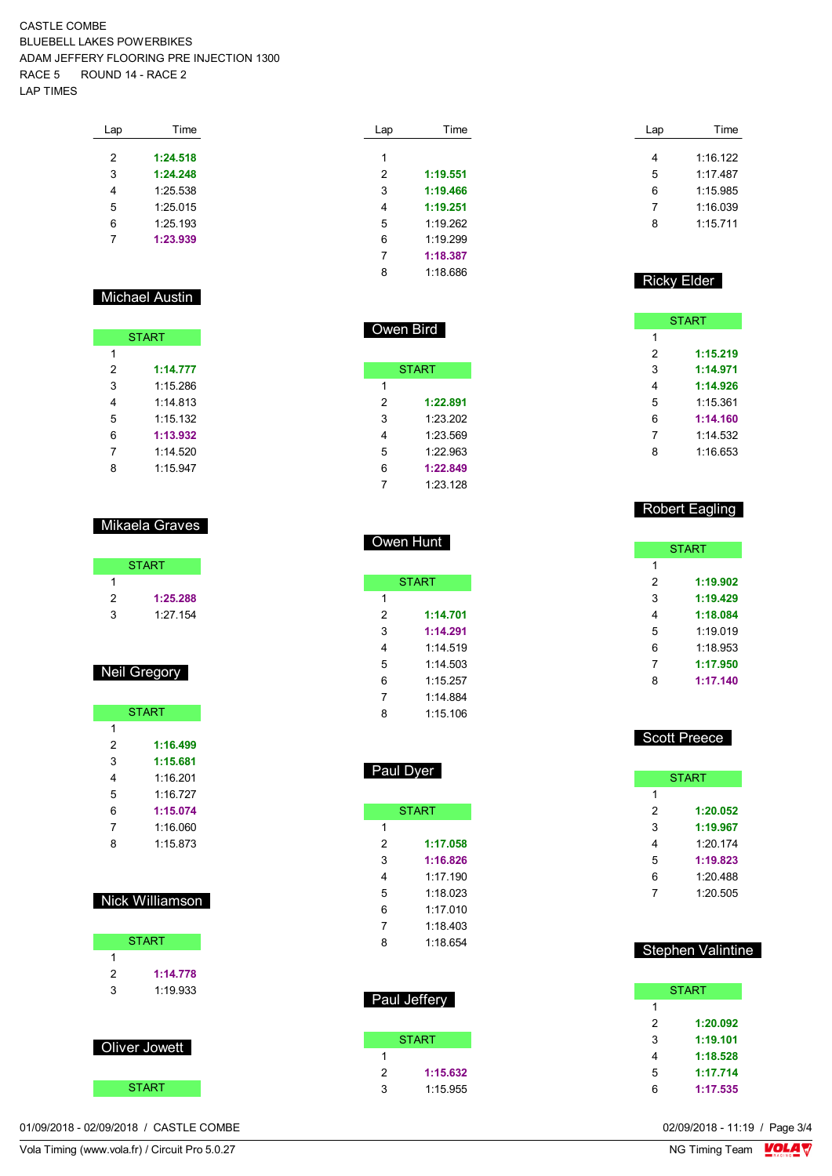| Time     |
|----------|
|          |
| 1:24.518 |
| 1:24.248 |
| 1:25.538 |
| 1:25.015 |
| 1:25.193 |
| 1:23.939 |
|          |

### Michael Austin

|   | <b>START</b> |
|---|--------------|
| 1 |              |
| 2 | 1:14.777     |
| 3 | 1:15.286     |
| 4 | 1.14813      |
| 5 | 1:15.132     |
| 6 | 1:13.932     |
| 7 | 1:14.520     |
| 8 | 1:15.947     |

#### Mikaela Graves

|   | <b>START</b> |
|---|--------------|
|   |              |
| 2 | 1:25.288     |
| 3 | 1:27.154     |

#### Neil Gregory

|   | <b>START</b> |
|---|--------------|
| 1 |              |
| 2 | 1:16.499     |
| 3 | 1:15.681     |
| 4 | 1:16.201     |
| 5 | 1.16 727     |
| 6 | 1:15.074     |
| 7 | 1:16.060     |
| 8 | 1:15.873     |

#### Nick Williamson

|   | <b>START</b> |
|---|--------------|
|   |              |
| 2 | 1:14.778     |
| 3 | 1:19.933     |
|   |              |

| Oliver Jowett |
|---------------|
| <b>START</b>  |

| 01/09/2018 - 02/09/2018 / CASTLE COMBE | 02/09/2018 - 11:19 / Page 3/4 |
|----------------------------------------|-------------------------------|
|----------------------------------------|-------------------------------|

Vola Timing (www.vola.fr) / Circuit Pro 5.0.27 **NG Timing Team** MG Timing Team MG Timing Team MC Timing Team MC Timing Team MC Timing Team MC Timing Team MC Timing Team MC Timing Team MC Timing Team MC Timing Team MC Timin

| Lap | Time     |
|-----|----------|
|     |          |
| 1   |          |
| 2   | 1:19.551 |
| 3   | 1:19.466 |
| 4   | 1:19.251 |
| 5   | 1.19262  |
| 6   | 1.19299  |
| 7   | 1:18.387 |
| ጸ   | 1.18686  |
|     |          |

Owen Bird

Owen Hunt

Paul Dyer

**START** 

 **1:17.058 1:16.826** 1:17.190 1:18.023 1:17.010 1:18.403 1:18.654

Paul Jeffery

 $\overline{1}$ 

**START** 

 **1:15.632** 1:15.955

**START** 

 **1:14.701 1:14.291** 1:14.519 1:14.503 1:15.257 1:14.884 1:15.106

**START** 

 **1:22.891** 1:23.202 1:23.569 1:22.963 **1:22.849** 1:23.128

| Lap | Time     |
|-----|----------|
|     |          |
| 4   | 1:16.122 |
| 5   | 1.17487  |
| 6   | 1:15.985 |
| 7   | 1.16039  |
| R   | 1.15711  |

#### Ricky Elder

|   | <b>START</b> |
|---|--------------|
| 1 |              |
| 2 | 1:15.219     |
| 3 | 1:14.971     |
| 4 | 1:14.926     |
| 5 | 1:15.361     |
| 6 | 1:14.160     |
| 7 | 1:14.532     |
| 8 | 1:16.653     |
|   |              |

#### Robert Eagling

|   | <b>START</b> |
|---|--------------|
| 1 |              |
| 2 | 1:19.902     |
| 3 | 1:19.429     |
| 4 | 1:18.084     |
| 5 | 1:19.019     |
| 6 | 1:18.953     |
| 7 | 1:17.950     |
| 8 | 1:17.140     |

#### Scott Preece

|   | START    |
|---|----------|
| 1 |          |
| 2 | 1:20.052 |
| 3 | 1:19.967 |
| 4 | 1:20174  |
| 5 | 1:19.823 |
| 6 | 1.20 488 |
| 7 | 1:20.505 |

#### Stephen Valintine

|   | <b>START</b> |
|---|--------------|
| 1 |              |
| 2 | 1:20.092     |
| 3 | 1:19.101     |
| 4 | 1:18.528     |
| 5 | 1:17.714     |
| հ | 1:17.535     |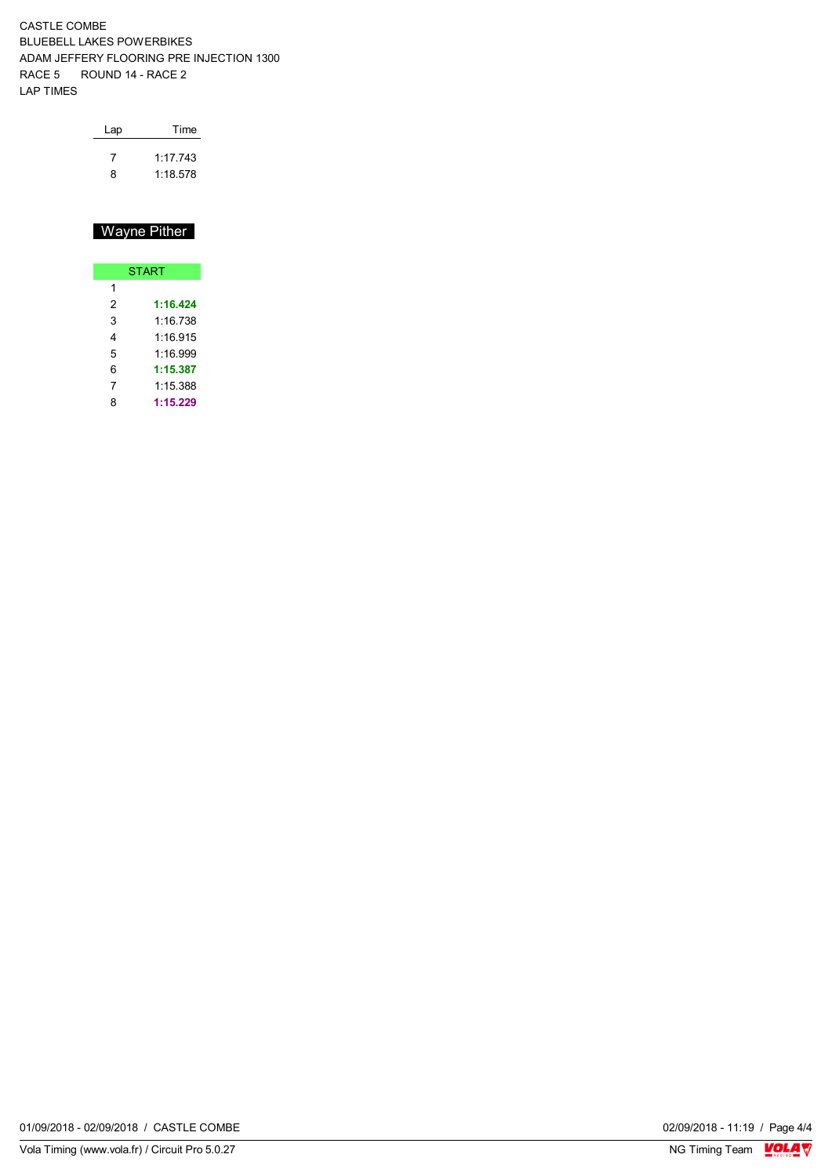| Lap | Time    |
|-----|---------|
|     | 1.17743 |
| ጸ   | 1.18578 |

## Wayne Pither

|   | <b>START</b> |  |  |  |  |  |  |  |  |  |  |  |
|---|--------------|--|--|--|--|--|--|--|--|--|--|--|
| 1 |              |  |  |  |  |  |  |  |  |  |  |  |
| 2 | 1:16.424     |  |  |  |  |  |  |  |  |  |  |  |
| 3 | 1:16.738     |  |  |  |  |  |  |  |  |  |  |  |
| 4 | 1:16.915     |  |  |  |  |  |  |  |  |  |  |  |
| 5 | 1:16.999     |  |  |  |  |  |  |  |  |  |  |  |
| 6 | 1:15.387     |  |  |  |  |  |  |  |  |  |  |  |
| 7 | 1:15.388     |  |  |  |  |  |  |  |  |  |  |  |
| 8 | 1:15.229     |  |  |  |  |  |  |  |  |  |  |  |

01/09/2018 - 02/09/2018 / CASTLE COMBE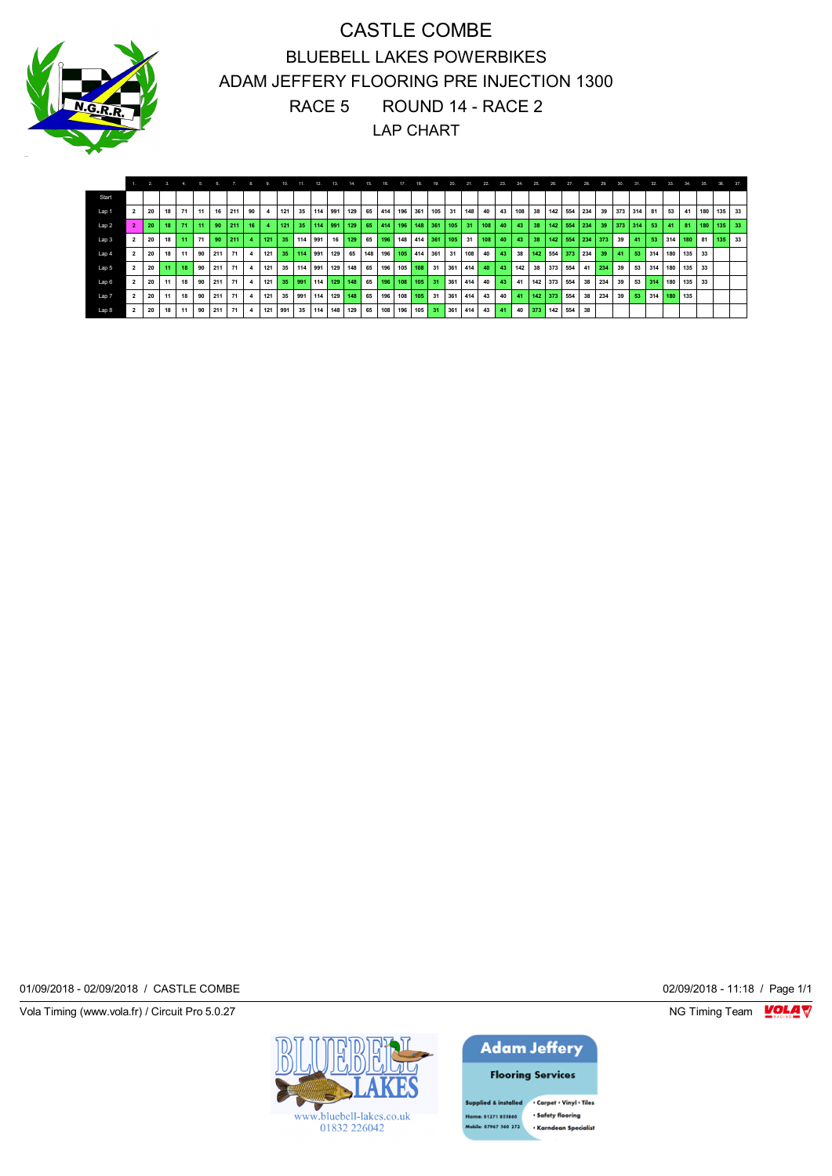

|                  |                | $\overline{2}$ |    |    |    |     |     |          |     |     |     |     |         |     |     |     |     |         |     | 20.  | 21.   |     | 23 | 24. | 25.        |     | 27  |     | 29   |     |     |     |         |     |        |     |    |
|------------------|----------------|----------------|----|----|----|-----|-----|----------|-----|-----|-----|-----|---------|-----|-----|-----|-----|---------|-----|------|-------|-----|----|-----|------------|-----|-----|-----|------|-----|-----|-----|---------|-----|--------|-----|----|
| Start            |                |                |    |    |    |     |     |          |     |     |     |     |         |     |     |     |     |         |     |      |       |     |    |     |            |     |     |     |      |     |     |     |         |     |        |     |    |
| Lap 1            | $\overline{2}$ | 20             | 18 | 71 | 11 | 16  | 211 | 90       |     | 121 | 35  | 114 | 991     | 129 | 65  | 414 | 196 | 361     | 105 | 31   | 148 l | 40  | 43 | 108 | 38         | 142 | 554 | 234 | 39   | 373 | 314 | 81  | 53      | 41  | 180    | 135 | 33 |
| Lap <sub>2</sub> | $\overline{2}$ | 20             | 18 | 71 | 11 | 90  | 211 | 16       |     | 121 | 35  | 114 | 991     | 129 | 65  | 414 | 196 | 148     | 361 | 105  | 31    | 108 | 40 | 43  | 38         | 142 | 554 | 234 | 39   | 373 | 314 | 53  | 41      | 81  | 180    | 135 | 33 |
| Lap <sub>3</sub> | $\overline{2}$ | 20             | 18 | 11 | 71 | 90  | 211 | $\Delta$ | 121 | 35  | 114 | 991 | 16      | 129 | 65  | 196 | 148 | 414 361 |     | 105  | 31    | 108 | 40 | 43  | 38         | 142 | 554 | 234 | 1373 | 39  | 41  | 53  | 314     | 180 | 81 135 |     | 33 |
| Lap 4            | $\overline{2}$ | 20             | 18 | 11 | 90 | 211 | 71  |          | 121 | 35  | 114 | 991 | 129     | 65  | 148 | 196 | 105 | 414     | 361 | 31   | 108 l | 40  | 43 | 38  | 142 554    |     | 373 | 234 | 39   | 41  | 53  | 314 | 180 135 |     | 33     |     |    |
| Lap 5            | $\overline{2}$ | 20             | 11 | 18 | 90 | 211 | 71  |          | 121 | 35  | 114 | 991 | 129     | 148 | 65  | 196 | 105 | 108     | 31  | 361  | 414   | 40  | 43 | 142 | 38         | 373 | 554 | 41  | 234  | 39  | 53  | 314 | 180 135 |     | 33     |     |    |
| Lap 6            | $\overline{2}$ | 20             | 11 | 18 | 90 | 211 | 71  |          | 121 | 35  | 991 | 114 | 129     | 148 | 65  | 196 | 108 | 105     | 31  | 361  | 1414  | 40  | 43 | 41  | 142 373    |     | 554 | 38  | 234  | 39  | 53  | 314 | 180     | 135 | 33     |     |    |
| Lap 7            | $\overline{2}$ | 20             | 11 | 18 | 90 | 211 | 71  |          | 121 | 35  | 991 | 114 | 129     | 148 | 65  | 196 | 108 | 105     | 31  | 361  | 414   | 43  | 40 | 41  | 142        | 373 | 554 | 38  | 234  | 39  | 53  | 314 | 180     | 135 |        |     |    |
| Lap 8            | $\overline{2}$ | 20             | 18 | 11 | 90 | 211 | 71  |          | 121 | 991 | 35  | 114 | 148 129 |     | 65  | 108 | 196 | 105     | 31  | 1361 | 1414  | 43  | 41 |     | 40 373 142 |     | 554 | 38  |      |     |     |     |         |     |        |     |    |

01/09/2018 - 02/09/2018 / CASTLE COMBE 02/09/2018 - 11:18 / Page 1/1

Vola Timing (www.vola.fr) / Circuit Pro 5.0.27 NG Timing Team Monetary NG Timing Team Monetary